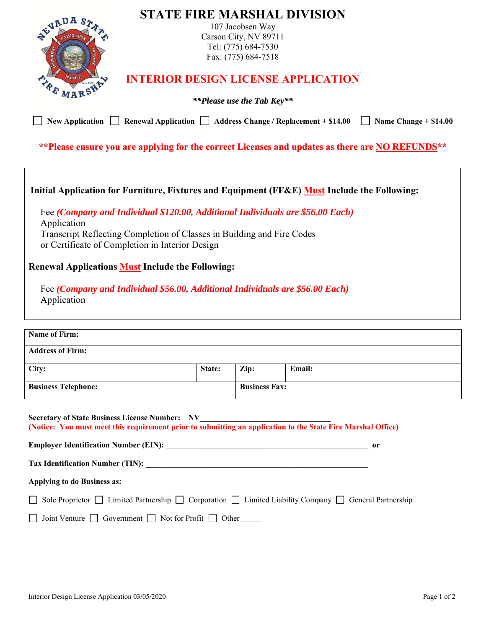| <b>SEVADA S</b><br><b>New Application</b>                                                                                                                                                                               | Renewal Application $\Box$ Address Change / Replacement + \$14.00                                                                                                                                                                                                                            |        | 107 Jacobsen Way<br>Carson City, NV 89711<br>Tel: (775) 684-7530<br>Fax: (775) 684-7518<br><i>**Please use the Tab Key**</i> | <b>STATE FIRE MARSHAL DIVISION</b><br><b>INTERIOR DESIGN LICENSE APPLICATION</b> | Name Change $+ $14.00$                                                                          |  |  |
|-------------------------------------------------------------------------------------------------------------------------------------------------------------------------------------------------------------------------|----------------------------------------------------------------------------------------------------------------------------------------------------------------------------------------------------------------------------------------------------------------------------------------------|--------|------------------------------------------------------------------------------------------------------------------------------|----------------------------------------------------------------------------------|-------------------------------------------------------------------------------------------------|--|--|
|                                                                                                                                                                                                                         |                                                                                                                                                                                                                                                                                              |        |                                                                                                                              |                                                                                  | **Please ensure you are applying for the correct Licenses and updates as there are NO REFUNDS** |  |  |
| Initial Application for Furniture, Fixtures and Equipment (FF&E) Must Include the Following:<br>Application<br><b>Renewal Applications Must Include the Following:</b><br>Application                                   | Fee (Company and Individual \$120.00, Additional Individuals are \$56.00 Each)<br>Transcript Reflecting Completion of Classes in Building and Fire Codes<br>or Certificate of Completion in Interior Design<br>Fee (Company and Individual \$56.00, Additional Individuals are \$56.00 Each) |        |                                                                                                                              |                                                                                  |                                                                                                 |  |  |
| <b>Name of Firm:</b>                                                                                                                                                                                                    |                                                                                                                                                                                                                                                                                              |        |                                                                                                                              |                                                                                  |                                                                                                 |  |  |
| <b>Address of Firm:</b>                                                                                                                                                                                                 |                                                                                                                                                                                                                                                                                              |        |                                                                                                                              |                                                                                  |                                                                                                 |  |  |
| City:                                                                                                                                                                                                                   |                                                                                                                                                                                                                                                                                              | State: | Zip:                                                                                                                         | <b>Email:</b>                                                                    |                                                                                                 |  |  |
| <b>Business Telephone:</b>                                                                                                                                                                                              |                                                                                                                                                                                                                                                                                              |        | <b>Business Fax:</b>                                                                                                         |                                                                                  |                                                                                                 |  |  |
| <b>Secretary of State Business License Number: NV</b><br>Secretary of State Business License Number: NV<br>(Notice: You must meet this requirement prior to submitting an application to the State Fire Marshal Office) |                                                                                                                                                                                                                                                                                              |        |                                                                                                                              |                                                                                  | or                                                                                              |  |  |
|                                                                                                                                                                                                                         |                                                                                                                                                                                                                                                                                              |        |                                                                                                                              |                                                                                  |                                                                                                 |  |  |
|                                                                                                                                                                                                                         | Applying to do Business as:                                                                                                                                                                                                                                                                  |        |                                                                                                                              |                                                                                  |                                                                                                 |  |  |
|                                                                                                                                                                                                                         | Sole Proprietor $\Box$ Limited Partnership $\Box$ Corporation $\Box$ Limited Liability Company $\Box$ General Partnership                                                                                                                                                                    |        |                                                                                                                              |                                                                                  |                                                                                                 |  |  |
|                                                                                                                                                                                                                         | Joint Venture $\Box$ Government $\Box$ Not for Profit $\Box$ Other                                                                                                                                                                                                                           |        |                                                                                                                              |                                                                                  |                                                                                                 |  |  |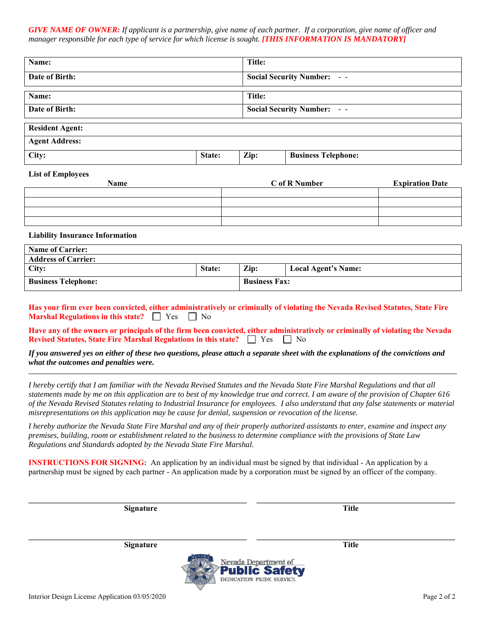*GIVE NAME OF OWNER: If applicant is a partnership, give name of each partner. If a corporation, give name of officer and manager responsible for each type of service for which license is sought.* [THIS INFORMATION IS MANDATORY]

| Name:          | Title:                            |
|----------------|-----------------------------------|
| Date of Birth: | <b>Social Security Number: --</b> |
|                |                                   |
| Name:          | Title:                            |
| Date of Birth: | <b>Social Security Number: --</b> |

| <b>Resident Agent:</b> |        |      |                            |
|------------------------|--------|------|----------------------------|
| <b>Agent Address:</b>  |        |      |                            |
| City:                  | State: | Zip: | <b>Business Telephone:</b> |

## **List of Employees**

| $\overline{\phantom{0}}$<br>__<br>Name | C of R Number | <b>Expiration Date</b> |
|----------------------------------------|---------------|------------------------|
|                                        |               |                        |
|                                        |               |                        |
|                                        |               |                        |
|                                        |               |                        |

## **Liability Insurance Information**

| <b>Name of Carrier:</b>    |               |                      |                     |
|----------------------------|---------------|----------------------|---------------------|
| <b>Address of Carrier:</b> |               |                      |                     |
| City:                      | <b>State:</b> | $\mathbf{Zip:}$      | Local Agent's Name: |
| <b>Business Telephone:</b> |               | <b>Business Fax:</b> |                     |

**Has your firm ever been convicted, either administratively or criminally of violating the Nevada Revised Statutes, State Fire Marshal Regulations in this state?**  $\Box$  Yes  $\Box$  No

**Have any of the owners or principals of the firm been convicted, either administratively or criminally of violating the Nevada Revised Statutes, State Fire Marshal Regulations in this state?**  $\Box$  Yes  $\Box$  No

*If you answered yes on either of these two questions, please attach a separate sheet with the explanations of the convictions and what the outcomes and penalties were.* 

*I hereby certify that I am familiar with the Nevada Revised Statutes and the Nevada State Fire Marshal Regulations and that all statements made by me on this application are to best of my knowledge true and correct. I am aware of the provision of Chapter 616 of the Nevada Revised Statutes relating to Industrial Insurance for employees. I also understand that any false statements or material misrepresentations on this application may be cause for denial, suspension or revocation of the license.* 

*I hereby authorize the Nevada State Fire Marshal and any of their properly authorized assistants to enter, examine and inspect any premises, building, room or establishment related to the business to determine compliance with the provisions of State Law Regulations and Standards adopted by the Nevada State Fire Marshal.* 

**INSTRUCTIONS FOR SIGNING:** An application by an individual must be signed by that individual - An application by a partnership must be signed by each partner - An application made by a corporation must be signed by an officer of the company.

**Signature Title 3 (2012)** 

**\_\_\_\_\_\_\_\_\_\_\_\_\_\_\_\_\_\_\_\_\_\_\_\_\_\_\_\_\_\_\_\_\_\_\_\_\_\_\_\_\_\_\_\_\_\_\_\_\_\_\_\_\_\_\_ \_\_\_\_\_\_\_\_\_\_\_\_\_\_\_\_\_\_\_\_\_\_\_\_\_\_\_\_\_\_\_\_\_\_\_\_\_\_\_\_\_\_\_\_\_\_\_\_\_\_ Signature Title 3 (2012)** 

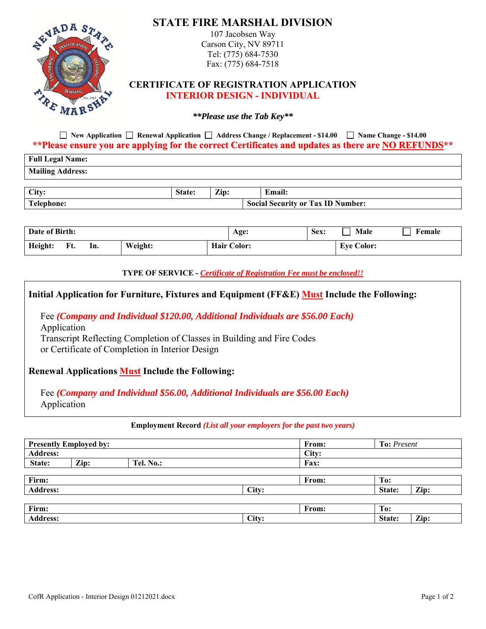

**New Application Renewal Application Address Change / Replacement - \$14.00 Name Change - \$14.00 \*\*Please ensure you are applying for the correct Certificates and updates as there are NO REFUNDS\*\***

| <b>Full Legal Name:</b> |               |                  |                                          |
|-------------------------|---------------|------------------|------------------------------------------|
| <b>Mailing Address:</b> |               |                  |                                          |
|                         |               |                  |                                          |
| City:                   | <b>State:</b> | $\mathbf{Z}$ in: | <b>Email:</b>                            |
| Telephone:              |               |                  | <b>Social Security or Tax ID Number:</b> |

| Date of Birth: |     |         | Age: | Sex:               | Male | Female            |  |
|----------------|-----|---------|------|--------------------|------|-------------------|--|
| Height:<br>Ft. | In. | Weight: |      | <b>Hair Color:</b> |      | <b>Eye Color:</b> |  |

**TYPE OF SERVICE -** *Certificate of Registration Fee must be enclosed!!* 

| Initial Application for Furniture, Fixtures and Equipment (FF&E) Must Include the Following:                                                                                                                               |
|----------------------------------------------------------------------------------------------------------------------------------------------------------------------------------------------------------------------------|
| Fee (Company and Individual \$120.00, Additional Individuals are \$56.00 Each)<br>Application<br>Transcript Reflecting Completion of Classes in Building and Fire Codes<br>or Certificate of Completion in Interior Design |
| <b>Renewal Applications Must Include the Following:</b>                                                                                                                                                                    |
| Fee (Company and Individual \$56.00, Additional Individuals are \$56.00 Each)<br>Application                                                                                                                               |

## **Employment Record** *(List all your employers for the past two years)*

|                 | <b>Presently Employed by:</b> |           |       | From: | <b>To:</b> Present |      |
|-----------------|-------------------------------|-----------|-------|-------|--------------------|------|
| <b>Address:</b> |                               |           |       | City: |                    |      |
| State:          | Zip:                          | Tel. No.: |       | Fax:  |                    |      |
|                 |                               |           |       |       |                    |      |
| Firm:           |                               |           |       | From: | To:                |      |
| <b>Address:</b> |                               |           | City: |       | State:             | Zip: |
|                 |                               |           |       |       |                    |      |
| Firm:           |                               |           |       | From: | To:                |      |
| <b>Address:</b> |                               |           | City: |       | State:             | Zip: |